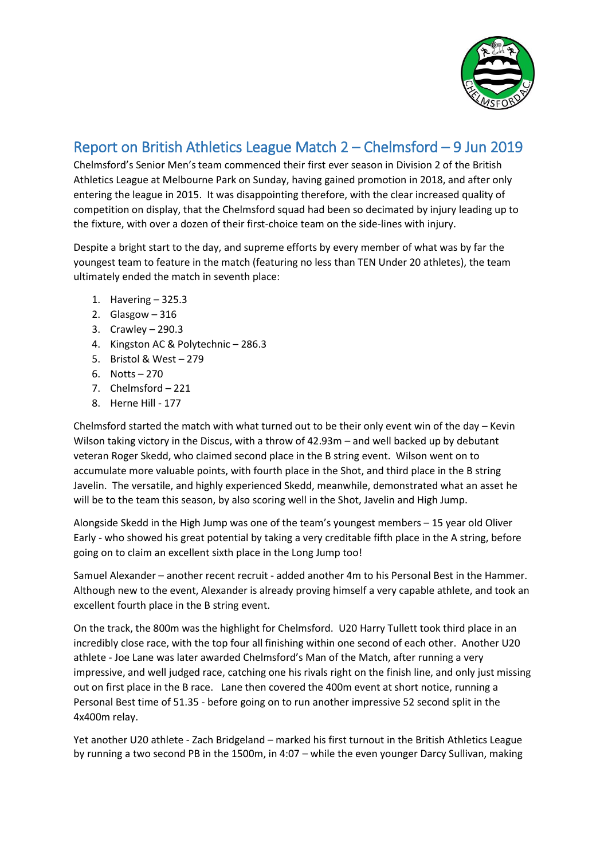

## Report on British Athletics League Match 2 – Chelmsford – 9 Jun 2019

Chelmsford's Senior Men's team commenced their first ever season in Division 2 of the British Athletics League at Melbourne Park on Sunday, having gained promotion in 2018, and after only entering the league in 2015. It was disappointing therefore, with the clear increased quality of competition on display, that the Chelmsford squad had been so decimated by injury leading up to the fixture, with over a dozen of their first-choice team on the side-lines with injury.

Despite a bright start to the day, and supreme efforts by every member of what was by far the youngest team to feature in the match (featuring no less than TEN Under 20 athletes), the team ultimately ended the match in seventh place:

- 1. Havering 325.3
- 2. Glasgow 316
- 3. Crawley 290.3
- 4. Kingston AC & Polytechnic 286.3
- 5. Bristol & West 279
- 6. Notts 270
- 7. Chelmsford 221
- 8. Herne Hill 177

Chelmsford started the match with what turned out to be their only event win of the day – Kevin Wilson taking victory in the Discus, with a throw of 42.93m – and well backed up by debutant veteran Roger Skedd, who claimed second place in the B string event. Wilson went on to accumulate more valuable points, with fourth place in the Shot, and third place in the B string Javelin. The versatile, and highly experienced Skedd, meanwhile, demonstrated what an asset he will be to the team this season, by also scoring well in the Shot, Javelin and High Jump.

Alongside Skedd in the High Jump was one of the team's youngest members – 15 year old Oliver Early - who showed his great potential by taking a very creditable fifth place in the A string, before going on to claim an excellent sixth place in the Long Jump too!

Samuel Alexander – another recent recruit - added another 4m to his Personal Best in the Hammer. Although new to the event, Alexander is already proving himself a very capable athlete, and took an excellent fourth place in the B string event.

On the track, the 800m was the highlight for Chelmsford. U20 Harry Tullett took third place in an incredibly close race, with the top four all finishing within one second of each other. Another U20 athlete - Joe Lane was later awarded Chelmsford's Man of the Match, after running a very impressive, and well judged race, catching one his rivals right on the finish line, and only just missing out on first place in the B race. Lane then covered the 400m event at short notice, running a Personal Best time of 51.35 - before going on to run another impressive 52 second split in the 4x400m relay.

Yet another U20 athlete - Zach Bridgeland – marked his first turnout in the British Athletics League by running a two second PB in the 1500m, in 4:07 – while the even younger Darcy Sullivan, making